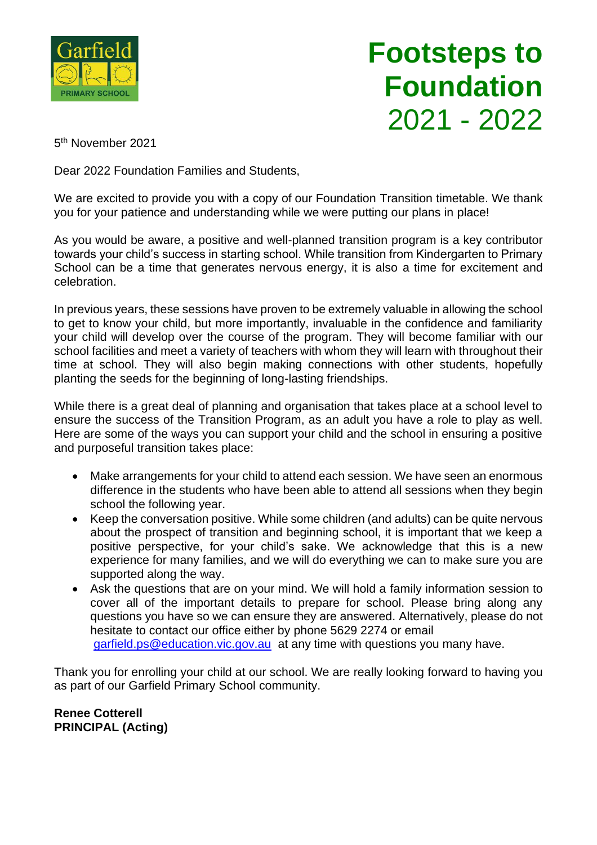

## **Footsteps to Foundation** 2021 - 2022

5 th November 2021

Dear 2022 Foundation Families and Students,

We are excited to provide you with a copy of our Foundation Transition timetable. We thank you for your patience and understanding while we were putting our plans in place!

As you would be aware, a positive and well-planned transition program is a key contributor towards your child's success in starting school. While transition from Kindergarten to Primary School can be a time that generates nervous energy, it is also a time for excitement and celebration.

In previous years, these sessions have proven to be extremely valuable in allowing the school to get to know your child, but more importantly, invaluable in the confidence and familiarity your child will develop over the course of the program. They will become familiar with our school facilities and meet a variety of teachers with whom they will learn with throughout their time at school. They will also begin making connections with other students, hopefully planting the seeds for the beginning of long-lasting friendships.

While there is a great deal of planning and organisation that takes place at a school level to ensure the success of the Transition Program, as an adult you have a role to play as well. Here are some of the ways you can support your child and the school in ensuring a positive and purposeful transition takes place:

- Make arrangements for your child to attend each session. We have seen an enormous difference in the students who have been able to attend all sessions when they begin school the following year.
- Keep the conversation positive. While some children (and adults) can be quite nervous about the prospect of transition and beginning school, it is important that we keep a positive perspective, for your child's sake. We acknowledge that this is a new experience for many families, and we will do everything we can to make sure you are supported along the way.
- Ask the questions that are on your mind. We will hold a family information session to cover all of the important details to prepare for school. Please bring along any questions you have so we can ensure they are answered. Alternatively, please do not hesitate to contact our office either by phone 5629 2274 or email [garfield.ps@education.vic.gov.au](mailto:garfield.ps@education.vic.gov.au) at any time with questions you many have.

Thank you for enrolling your child at our school. We are really looking forward to having you as part of our Garfield Primary School community.

**Renee Cotterell PRINCIPAL (Acting)**